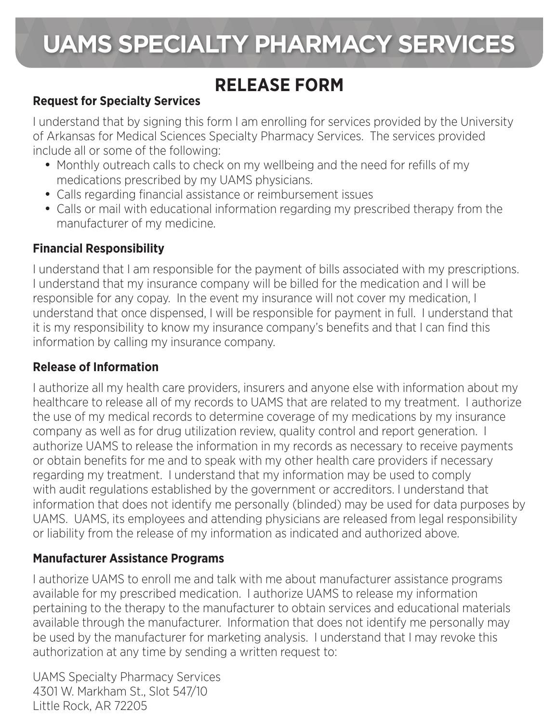# **UAMS SPECIALTY PHARMACY SERVICES**

### **RELEASE FORM**

### **Request for Specialty Services**

I understand that by signing this form I am enrolling for services provided by the University of Arkansas for Medical Sciences Specialty Pharmacy Services. The services provided include all or some of the following:

- Monthly outreach calls to check on my wellbeing and the need for refills of my medications prescribed by my UAMS physicians.
- Calls regarding financial assistance or reimbursement issues
- Calls or mail with educational information regarding my prescribed therapy from the manufacturer of my medicine.

### **Financial Responsibility**

I understand that I am responsible for the payment of bills associated with my prescriptions. I understand that my insurance company will be billed for the medication and I will be responsible for any copay. In the event my insurance will not cover my medication, I understand that once dispensed, I will be responsible for payment in full. I understand that it is my responsibility to know my insurance company's benefits and that I can find this information by calling my insurance company.

#### **Release of Information**

I authorize all my health care providers, insurers and anyone else with information about my healthcare to release all of my records to UAMS that are related to my treatment. I authorize the use of my medical records to determine coverage of my medications by my insurance company as well as for drug utilization review, quality control and report generation. I authorize UAMS to release the information in my records as necessary to receive payments or obtain benefits for me and to speak with my other health care providers if necessary regarding my treatment. I understand that my information may be used to comply with audit regulations established by the government or accreditors. I understand that information that does not identify me personally (blinded) may be used for data purposes by UAMS. UAMS, its employees and attending physicians are released from legal responsibility or liability from the release of my information as indicated and authorized above.

### **Manufacturer Assistance Programs**

I authorize UAMS to enroll me and talk with me about manufacturer assistance programs available for my prescribed medication. I authorize UAMS to release my information pertaining to the therapy to the manufacturer to obtain services and educational materials available through the manufacturer. Information that does not identify me personally may be used by the manufacturer for marketing analysis. I understand that I may revoke this authorization at any time by sending a written request to:

UAMS Specialty Pharmacy Services 4301 W. Markham St., Slot 547/10 Little Rock, AR 72205